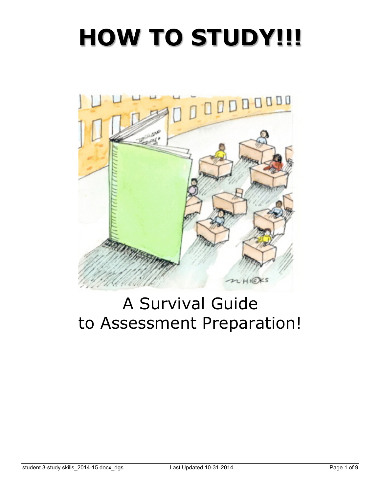# **HOW TO STUDY!!!**



## A Survival Guide to Assessment Preparation!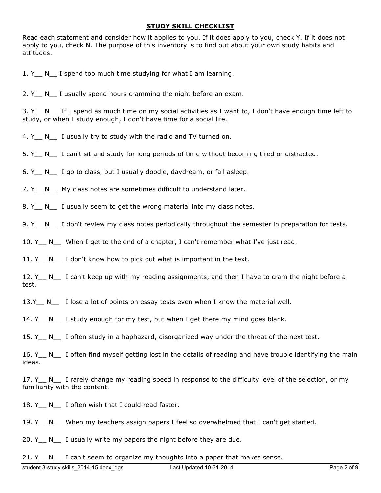#### **STUDY SKILL CHECKLIST**

Read each statement and consider how it applies to you. If it does apply to you, check Y. If it does not apply to you, check N. The purpose of this inventory is to find out about your own study habits and attitudes.

1. Y N I spend too much time studying for what I am learning.

2. Y N I usually spend hours cramming the night before an exam.

3. Y<sub>\_\_</sub> N<sub>\_\_</sub> If I spend as much time on my social activities as I want to, I don't have enough time left to study, or when I study enough, I don't have time for a social life.

4. Y N I usually try to study with the radio and TV turned on.

5. Y N I can't sit and study for long periods of time without becoming tired or distracted.

6. Y N I go to class, but I usually doodle, daydream, or fall asleep.

7. Y N My class notes are sometimes difficult to understand later.

8. Y<sub>\_\_</sub> N<sub>\_\_</sub> I usually seem to get the wrong material into my class notes.

9. Y N I don't review my class notes periodically throughout the semester in preparation for tests.

10. Y<sub>\_\_</sub> N<sub>\_\_</sub> When I get to the end of a chapter, I can't remember what I've just read.

11. Y N I don't know how to pick out what is important in the text.

12. Y<sub>\_\_</sub> N<sub>\_\_</sub> I can't keep up with my reading assignments, and then I have to cram the night before a test.

13.Y\_\_ N\_\_ I lose a lot of points on essay tests even when I know the material well.

14. Y N I study enough for my test, but when I get there my mind goes blank.

15. Y N I often study in a haphazard, disorganized way under the threat of the next test.

16. Y N I often find myself getting lost in the details of reading and have trouble identifying the main ideas.

17. Y N I rarely change my reading speed in response to the difficulty level of the selection, or my familiarity with the content.

18. Y<sub>\_</sub> N<sub>\_</sub> I often wish that I could read faster.

19. Y N When my teachers assign papers I feel so overwhelmed that I can't get started.

20. Y<sub>\_\_</sub> N<sub>\_\_</sub> I usually write my papers the night before they are due.

21. Y  $\quad$  N  $\quad$  I can't seem to organize my thoughts into a paper that makes sense.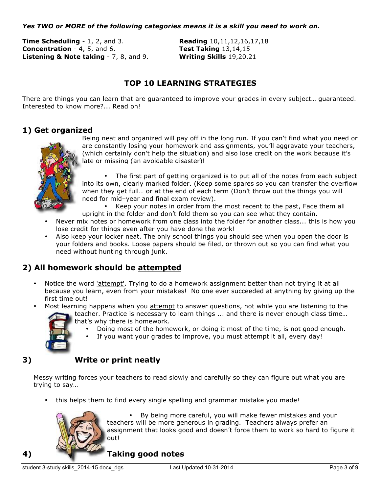#### *Yes TWO or MORE of the following categories means it is a skill you need to work on.*

**Time Scheduling** - 1, 2, and 3. **Reading** 10,11,12,16,17,18 **Concentration** - 4, 5, and 6. **Test Taking** 13,14,15 **Listening & Note taking** - 7, 8, and 9. **Writing Skills** 19,20,21

## **TOP 10 LEARNING STRATEGIES**

There are things you can learn that are guaranteed to improve your grades in every subject… guaranteed. Interested to know more?... Read on!

#### **1) Get organized**



Being neat and organized will pay off in the long run. If you can't find what you need or are constantly losing your homework and assignments, you'll aggravate your teachers, (which certainly don't help the situation) and also lose credit on the work because it's late or missing (an avoidable disaster)!

The first part of getting organized is to put all of the notes from each subject into its own, clearly marked folder. (Keep some spares so you can transfer the overflow when they get full… or at the end of each term (Don't throw out the things you will need for mid–year and final exam review).

• Keep your notes in order from the most recent to the past, Face them all upright in the folder and don't fold them so you can see what they contain.

- Never mix notes or homework from one class into the folder for another class... this is how you lose credit for things even after you have done the work!
- Also keep your locker neat. The only school things you should see when you open the door is your folders and books. Loose papers should be filed, or thrown out so you can find what you need without hunting through junk.

#### **2) All homework should be attempted**

- Notice the word 'attempt'. Trying to do a homework assignment better than not trying it at all because you learn, even from your mistakes! No one ever succeeded at anything by giving up the first time out!
- Most learning happens when you attempt to answer questions, not while you are listening to the teacher. Practice is necessary to learn things ... and there is never enough class time…
	- that's why there is homework.
		- Doing most of the homework, or doing it most of the time, is not good enough. If you want your grades to improve, you must attempt it all, every day!
		-

#### **3) Write or print neatly**

Messy writing forces your teachers to read slowly and carefully so they can figure out what you are trying to say…

• this helps them to find every single spelling and grammar mistake you made!



• By being more careful, you will make fewer mistakes and your teachers will be more generous in grading. Teachers always prefer an assignment that looks good and doesn't force them to work so hard to figure it out!

#### **4) Taking good notes**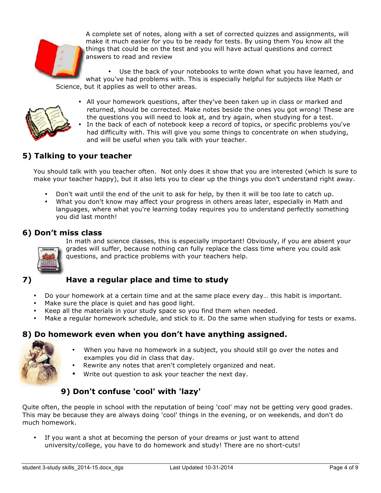

A complete set of notes, along with a set of corrected quizzes and assignments, will make it much easier for you to be ready for tests. By using them You know all the things that could be on the test and you will have actual questions and correct answers to read and review

Use the back of your notebooks to write down what you have learned, and what you've had problems with. This is especially helpful for subjects like Math or Science, but it applies as well to other areas.



• All your homework questions, after they've been taken up in class or marked and returned, should be corrected. Make notes beside the ones you got wrong! These are the questions you will need to look at, and try again, when studying for a test.

• In the back of each of notebook keep a record of topics, or specific problems you've had difficulty with. This will give you some things to concentrate on when studying, and will be useful when you talk with your teacher.

#### **5) Talking to your teacher**

You should talk with you teacher often. Not only does it show that you are interested (which is sure to make your teacher happy), but it also lets you to clear up the things you don't understand right away.

- Don't wait until the end of the unit to ask for help, by then it will be too late to catch up.
- What you don't know may affect your progress in others areas later, especially in Math and languages, where what you're learning today requires you to understand perfectly something you did last month!

#### **6) Don't miss class**



In math and science classes, this is especially important! Obviously, if you are absent your grades will suffer, because nothing can fully replace the class time where you could ask questions, and practice problems with your teachers help.

#### **7) Have a regular place and time to study**

- Do your homework at a certain time and at the same place every day… this habit is important.
- Make sure the place is quiet and has good light.
- Keep all the materials in your study space so you find them when needed.
- Make a regular homework schedule, and stick to it. Do the same when studying for tests or exams.

#### **8) Do homework even when you don't have anything assigned.**



- When you have no homework in a subject, you should still go over the notes and examples you did in class that day.
- Rewrite any notes that aren't completely organized and neat.
- Write out question to ask your teacher the next day.

#### **9) Don't confuse 'cool' with 'lazy'**

Quite often, the people in school with the reputation of being 'cool' may not be getting very good grades. This may be because they are always doing 'cool' things in the evening, or on weekends, and don't do much homework.

If you want a shot at becoming the person of your dreams or just want to attend university/college, you have to do homework and study! There are no short-cuts!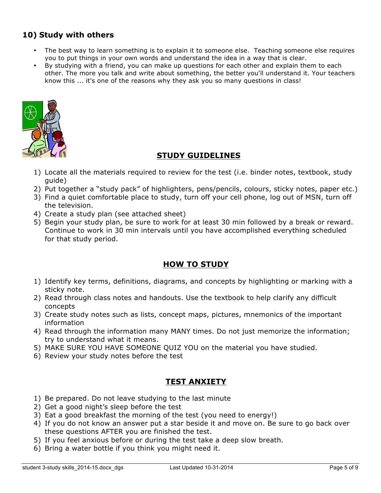### **10) Study with others**

- The best way to learn something is to explain it to someone else. Teaching someone else requires you to put things in your own words and understand the idea in a way that is clear.
- By studying with a friend, you can make up questions for each other and explain them to each other. The more you talk and write about something, the better you'll understand it. Your teachers know this ... it's one of the reasons why they ask you so many questions in class!



#### **STUDY GUIDELINES**

- 1) Locate all the materials required to review for the test (i.e. binder notes, textbook, study guide)
- 2) Put together a "study pack" of highlighters, pens/pencils, colours, sticky notes, paper etc.)
- 3) Find a quiet comfortable place to study, turn off your cell phone, log out of MSN, turn off the television.
- 4) Create a study plan (see attached sheet)
- 5) Begin your study plan, be sure to work for at least 30 min followed by a break or reward. Continue to work in 30 min intervals until you have accomplished everything scheduled for that study period.

#### **HOW TO STUDY**

- 1) Identify key terms, definitions, diagrams, and concepts by highlighting or marking with a sticky note.
- 2) Read through class notes and handouts. Use the textbook to help clarify any difficult concepts
- 3) Create study notes such as lists, concept maps, pictures, mnemonics of the important information
- 4) Read through the information many MANY times. Do not just memorize the information; try to understand what it means.
- 5) MAKE SURE YOU HAVE SOMEONE QUIZ YOU on the material you have studied.
- 6) Review your study notes before the test

#### **TEST ANXIETY**

- 1) Be prepared. Do not leave studying to the last minute
- 2) Get a good night's sleep before the test
- 3) Eat a good breakfast the morning of the test (you need to energy!)
- 4) If you do not know an answer put a star beside it and move on. Be sure to go back over these questions AFTER you are finished the test.
- 5) If you feel anxious before or during the test take a deep slow breath.
- 6) Bring a water bottle if you think you might need it.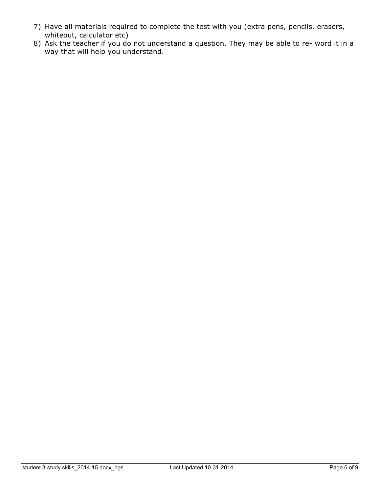- 7) Have all materials required to complete the test with you (extra pens, pencils, erasers, whiteout, calculator etc)
- 8) Ask the teacher if you do not understand a question. They may be able to re- word it in a way that will help you understand.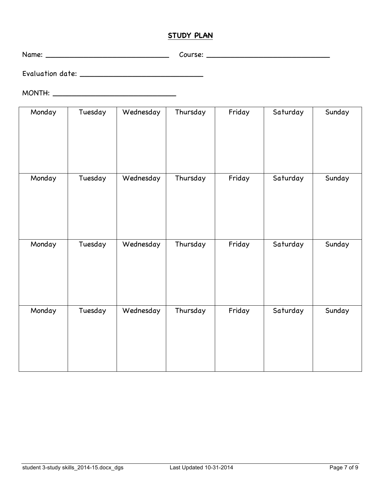#### **STUDY PLAN**

Name: \_\_\_\_\_\_\_\_\_\_\_\_\_\_\_\_\_\_\_\_\_\_\_\_\_\_ Course: \_\_\_\_\_\_\_\_\_\_\_\_\_\_\_\_\_\_\_\_\_\_\_\_\_\_

Evaluation date: \_\_\_\_\_\_\_\_\_\_\_\_\_\_\_\_\_\_\_\_\_\_\_\_\_\_

MONTH: \_\_\_\_\_\_\_\_\_\_\_\_\_\_\_\_\_\_\_\_\_\_\_\_\_\_

| Monday | Tuesday | Wednesday | Thursday | Friday | Saturday | Sunday |
|--------|---------|-----------|----------|--------|----------|--------|
| Monday | Tuesday | Wednesday | Thursday | Friday | Saturday | Sunday |
| Monday | Tuesday | Wednesday | Thursday | Friday | Saturday | Sunday |
| Monday | Tuesday | Wednesday | Thursday | Friday | Saturday | Sunday |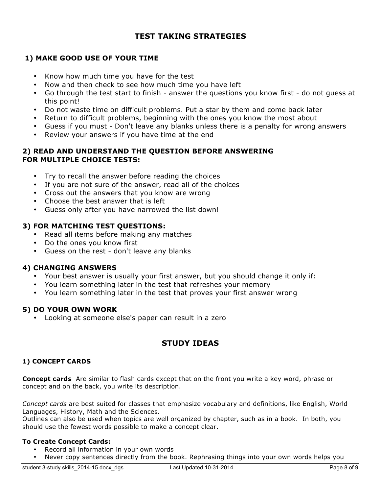#### **TEST TAKING STRATEGIES**

#### **1) MAKE GOOD USE OF YOUR TIME**

- Know how much time you have for the test
- Now and then check to see how much time you have left
- Go through the test start to finish answer the questions you know first do not guess at this point!
- Do not waste time on difficult problems. Put a star by them and come back later
- Return to difficult problems, beginning with the ones you know the most about
- Guess if you must Don't leave any blanks unless there is a penalty for wrong answers
- Review your answers if you have time at the end

#### **2) READ AND UNDERSTAND THE QUESTION BEFORE ANSWERING FOR MULTIPLE CHOICE TESTS:**

- Try to recall the answer before reading the choices
- If you are not sure of the answer, read all of the choices
- Cross out the answers that you know are wrong
- Choose the best answer that is left
- Guess only after you have narrowed the list down!

#### **3) FOR MATCHING TEST QUESTIONS:**

- Read all items before making any matches
- Do the ones you know first
- Guess on the rest don't leave any blanks

#### **4) CHANGING ANSWERS**

- Your best answer is usually your first answer, but you should change it only if:
- You learn something later in the test that refreshes your memory
- You learn something later in the test that proves your first answer wrong

#### **5) DO YOUR OWN WORK**

• Looking at someone else's paper can result in a zero

#### **STUDY IDEAS**

#### **1) CONCEPT CARDS**

**Concept cards** Are similar to flash cards except that on the front you write a key word, phrase or concept and on the back, you write its description.

*Concept cards* are best suited for classes that emphasize vocabulary and definitions, like English, World Languages, History, Math and the Sciences.

Outlines can also be used when topics are well organized by chapter, such as in a book. In both, you should use the fewest words possible to make a concept clear.

#### **To Create Concept Cards:**

- Record all information in your own words
- Never copy sentences directly from the book. Rephrasing things into your own words helps you